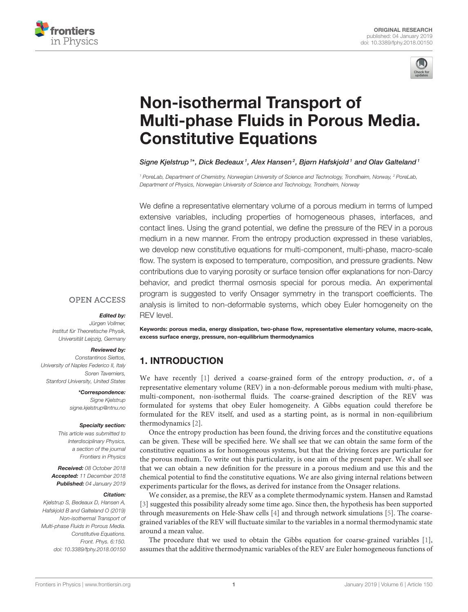



# Non-isothermal Transport of [Multi-phase Fluids in Porous Media.](https://www.frontiersin.org/articles/10.3389/fphy.2018.00150/full) Constitutive Equations

[Signe Kjelstrup](http://loop.frontiersin.org/people/96520/overview)<sup>1\*</sup>, [Dick Bedeaux](http://loop.frontiersin.org/people/96537/overview)<sup>1</sup>, [Alex Hansen](http://loop.frontiersin.org/people/73058/overview)<sup>2</sup>, [Bjørn Hafskjold](http://loop.frontiersin.org/people/633919/overview)<sup>1</sup> and [Olav Galteland](http://loop.frontiersin.org/people/634365/overview)<sup>1</sup>

<sup>1</sup> PoreLab, Department of Chemistry, Norwegian University of Science and Technology, Trondheim, Norway, <sup>2</sup> PoreLab, Department of Physics, Norwegian University of Science and Technology, Trondheim, Norway

We define a representative elementary volume of a porous medium in terms of lumped extensive variables, including properties of homogeneous phases, interfaces, and contact lines. Using the grand potential, we define the pressure of the REV in a porous medium in a new manner. From the entropy production expressed in these variables, we develop new constitutive equations for multi-component, multi-phase, macro-scale flow. The system is exposed to temperature, composition, and pressure gradients. New contributions due to varying porosity or surface tension offer explanations for non-Darcy behavior, and predict thermal osmosis special for porous media. An experimental program is suggested to verify Onsager symmetry in the transport coefficients. The analysis is limited to non-deformable systems, which obey Euler homogeneity on the REV level.

### **OPEN ACCESS**

#### Edited by:

Jürgen Vollmer, Institut für Theoretische Physik, Universität Leipzig, Germany

#### Reviewed by:

Constantinos Siettos, University of Naples Federico II, Italy Soren Taverniers, Stanford University, United States

#### \*Correspondence:

Signe Kjelstrup [signe.kjelstrup@ntnu.no](mailto:signe.kjelstrup@ntnu.no)

#### Specialty section:

This article was submitted to Interdisciplinary Physics, a section of the journal Frontiers in Physics

Received: 08 October 2018 Accepted: 11 December 2018 Published: 04 January 2019

#### Citation:

Kjelstrup S, Bedeaux D, Hansen A, Hafskiold B and Galteland O (2019) Non-isothermal Transport of Multi-phase Fluids in Porous Media. Constitutive Equations. Front. Phys. 6:150. doi: [10.3389/fphy.2018.00150](https://doi.org/10.3389/fphy.2018.00150)

Keywords: porous media, energy dissipation, two-phase flow, representative elementary volume, macro-scale, excess surface energy, pressure, non-equilibrium thermodynamics

# 1. INTRODUCTION

We have recently [\[1\]](#page-9-0) derived a coarse-grained form of the entropy production,  $\sigma$ , of a representative elementary volume (REV) in a non-deformable porous medium with multi-phase, multi-component, non-isothermal fluids. The coarse-grained description of the REV was formulated for systems that obey Euler homogeneity. A Gibbs equation could therefore be formulated for the REV itself, and used as a starting point, as is normal in non-equilibrium thermodynamics [\[2\]](#page-9-1).

Once the entropy production has been found, the driving forces and the constitutive equations can be given. These will be specified here. We shall see that we can obtain the same form of the constitutive equations as for homogeneous systems, but that the driving forces are particular for the porous medium. To write out this particularity, is one aim of the present paper. We shall see that we can obtain a new definition for the pressure in a porous medium and use this and the chemical potential to find the constitutive equations. We are also giving internal relations between experiments particular for the flows, as derived for instance from the Onsager relations.

We consider, as a premise, the REV as a complete thermodynamic system. Hansen and Ramstad [\[3\]](#page-9-2) suggested this possibility already some time ago. Since then, the hypothesis has been supported through measurements on Hele-Shaw cells [\[4\]](#page-9-3) and through network simulations [\[5\]](#page-9-4). The coarsegrained variables of the REV will fluctuate similar to the variables in a normal thermodynamic state around a mean value.

The procedure that we used to obtain the Gibbs equation for coarse-grained variables [\[1\]](#page-9-0), assumes that the additive thermodynamic variables of the REV are Euler homogeneous functions of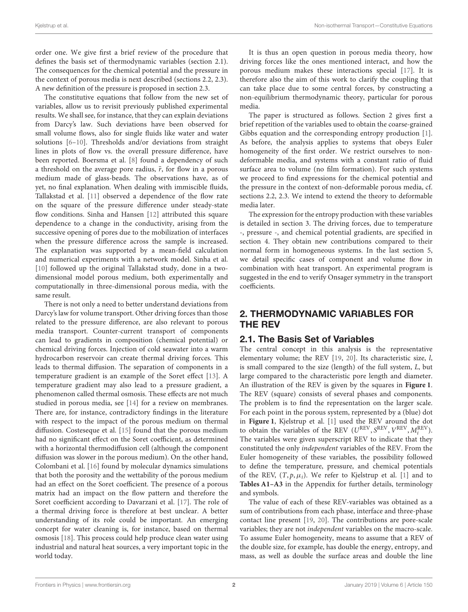order one. We give first a brief review of the procedure that defines the basis set of thermodynamic variables (section 2.1). The consequences for the chemical potential and the pressure in the context of porous media is next described (sections 2.2, 2.3). A new definition of the pressure is proposed in section 2.3.

The constitutive equations that follow from the new set of variables, allow us to revisit previously published experimental results. We shall see, for instance, that they can explain deviations from Darcy's law. Such deviations have been observed for small volume flows, also for single fluids like water and water solutions [\[6–](#page-9-5)[10\]](#page-9-6). Thresholds and/or deviations from straight lines in plots of flow vs. the overall pressure difference, have been reported. Boersma et al. [\[8\]](#page-9-7) found a dependency of such a threshold on the average pore radius,  $\bar{r}$ , for flow in a porous medium made of glass-beads. The observations have, as of yet, no final explanation. When dealing with immiscible fluids, Tallakstad et al. [\[11\]](#page-9-8) observed a dependence of the flow rate on the square of the pressure difference under steady-state flow conditions. Sinha and Hansen [\[12\]](#page-10-0) attributed this square dependence to a change in the conductivity, arising from the successive opening of pores due to the mobilization of interfaces when the pressure difference across the sample is increased. The explanation was supported by a mean-field calculation and numerical experiments with a network model. Sinha et al. [\[10\]](#page-9-6) followed up the original Tallakstad study, done in a twodimensional model porous medium, both experimentally and computationally in three-dimensional porous media, with the same result.

There is not only a need to better understand deviations from Darcy's law for volume transport. Other driving forces than those related to the pressure difference, are also relevant to porous media transport. Counter-current transport of components can lead to gradients in composition (chemical potential) or chemical driving forces. Injection of cold seawater into a warm hydrocarbon reservoir can create thermal driving forces. This leads to thermal diffusion. The separation of components in a temperature gradient is an example of the Soret effect [\[13\]](#page-10-1). A temperature gradient may also lead to a pressure gradient, a phenomenon called thermal osmosis. These effects are not much studied in porous media, see [\[14\]](#page-10-2) for a review on membranes. There are, for instance, contradictory findings in the literature with respect to the impact of the porous medium on thermal diffusion. Costeseque et al. [\[15\]](#page-10-3) found that the porous medium had no significant effect on the Soret coefficient, as determined with a horizontal thermodiffusion cell (although the component diffusion was slower in the porous medium). On the other hand, Colombani et al. [\[16\]](#page-10-4) found by molecular dynamics simulations that both the porosity and the wettability of the porous medium had an effect on the Soret coefficient. The presence of a porous matrix had an impact on the flow pattern and therefore the Soret coefficient according to Davarzani et al. [\[17\]](#page-10-5). The role of a thermal driving force is therefore at best unclear. A better understanding of its role could be important. An emerging concept for water cleaning is, for instance, based on thermal osmosis [\[18\]](#page-10-6). This process could help produce clean water using industrial and natural heat sources, a very important topic in the world today.

It is thus an open question in porous media theory, how driving forces like the ones mentioned interact, and how the porous medium makes these interactions special [\[17\]](#page-10-5). It is therefore also the aim of this work to clarify the coupling that can take place due to some central forces, by constructing a non-equilibrium thermodynamic theory, particular for porous media.

The paper is structured as follows. Section 2 gives first a brief repetition of the variables used to obtain the coarse-grained Gibbs equation and the corresponding entropy production [\[1\]](#page-9-0). As before, the analysis applies to systems that obeys Euler homogeneity of the first order. We restrict ourselves to nondeformable media, and systems with a constant ratio of fluid surface area to volume (no film formation). For such systems we proceed to find expressions for the chemical potential and the pressure in the context of non-deformable porous media, cf. sections 2.2, 2.3. We intend to extend the theory to deformable media later.

The expression for the entropy production with these variables is detailed in section 3. The driving forces, due to temperature -, pressure -, and chemical potential gradients, are specified in section 4. They obtain new contributions compared to their normal form in homogeneous systems. In the last section 5, we detail specific cases of component and volume flow in combination with heat transport. An experimental program is suggested in the end to verify Onsager symmetry in the transport coefficients.

### 2. THERMODYNAMIC VARIABLES FOR THE REV

### 2.1. The Basis Set of Variables

The central concept in this analysis is the representative elementary volume; the REV [\[19,](#page-10-7) [20\]](#page-10-8). Its characteristic size, l, is small compared to the size (length) of the full system, L, but large compared to the characteristic pore length and diameter. An illustration of the REV is given by the squares in **[Figure 1](#page-2-0)**. The REV (square) consists of several phases and components. The problem is to find the representation on the larger scale. For each point in the porous system, represented by a (blue) dot in **[Figure 1](#page-2-0)**, Kjelstrup et al. [\[1\]](#page-9-0) used the REV around the dot to obtain the variables of the REV ( $U^{REV}$ ,  $S^{REV}$ ,  $V^{REV}$ ,  $M_i^{REV}$ ). The variables were given superscript REV to indicate that they constituted the only independent variables of the REV. From the Euler homogeneity of these variables, the possibility followed to define the temperature, pressure, and chemical potentials of the REV,  $(T, p, \mu_i)$ . We refer to Kjelstrup et al. [\[1\]](#page-9-0) and to **[Tables A1–A3](#page-11-0)** in the Appendix for further details, terminology and symbols.

The value of each of these REV-variables was obtained as a sum of contributions from each phase, interface and three-phase contact line present [\[19,](#page-10-7) [20\]](#page-10-8). The contributions are pore-scale variables; they are not independent variables on the macro-scale. To assume Euler homogeneity, means to assume that a REV of the double size, for example, has double the energy, entropy, and mass, as well as double the surface areas and double the line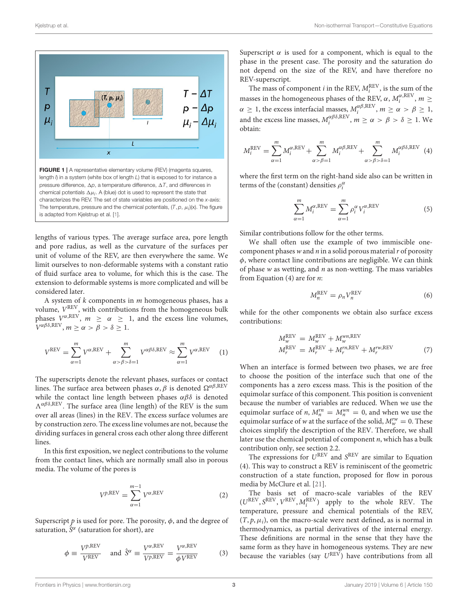

<span id="page-2-0"></span>lengths of various types. The average surface area, pore length and pore radius, as well as the curvature of the surfaces per unit of volume of the REV, are then everywhere the same. We limit ourselves to non-deformable systems with a constant ratio of fluid surface area to volume, for which this is the case. The extension to deformable systems is more complicated and will be considered later.

A system of  $k$  components in  $m$  homogeneous phases, has a volume,  $V^{\rm REV}$ , with contributions from the homogeneous bulk phases  $V^{\alpha,REV}$ ,  $m \geq \alpha \geq 1$ , and the excess line volumes,  $V^{\alpha\beta\delta,\text{REV}}$ ,  $m \geq \alpha > \beta > \delta \geq 1$ .

$$
V^{\text{REV}} = \sum_{\alpha=1}^{m} V^{\alpha, \text{REV}} + \sum_{\alpha > \beta > \delta = 1}^{m} V^{\alpha \beta \delta, \text{REV}} \approx \sum_{\alpha=1}^{m} V^{\alpha, \text{REV}} \quad (1)
$$

The superscripts denote the relevant phases, surfaces or contact lines. The surface area between phases  $\alpha$ ,  $\beta$  is denoted  $\Omega^{\alpha\beta,\text{REV}}$ while the contact line length between phases  $\alpha\beta\delta$  is denoted  $\Lambda^{\alpha\beta\delta,\text{REV}}$ . The surface area (line length) of the REV is the sum over all areas (lines) in the REV. The excess surface volumes are by construction zero. The excess line volumes are not, because the dividing surfaces in general cross each other along three different lines.

In this first exposition, we neglect contributions to the volume from the contact lines, which are normally small also in porous media. The volume of the pores is

$$
V^{\text{p,REV}} = \sum_{\alpha=1}^{m-1} V^{\alpha,\text{REV}} \tag{2}
$$

Superscript  $p$  is used for pore. The porosity,  $\phi$ , and the degree of saturation,  $\hat{S}^{\alpha}$  (saturation for short), are

$$
\phi \equiv \frac{V^{p,\text{REV}}}{V^{\text{REV}}} \quad \text{and } \hat{S}^{\alpha} \equiv \frac{V^{\alpha,\text{REV}}}{V^{p,\text{REV}}} = \frac{V^{\alpha,\text{REV}}}{\phi V^{\text{REV}}} \tag{3}
$$

Superscript  $\alpha$  is used for a component, which is equal to the phase in the present case. The porosity and the saturation do not depend on the size of the REV, and have therefore no REV-superscript.

The mass of component *i* in the REV,  $M_i^{\text{REV}}$ , is the sum of the masses in the homogeneous phases of the REV,  $\alpha$ ,  $M_i^{\alpha, REV}$ ,  $m \geq$ i  $\alpha \geq 1$ , the excess interfacial masses,  $M_i^{\alpha\beta,\text{REV}}$ ,  $m \geq \alpha > \beta \geq 1$ , and the excess line masses,  $M_i^{\alpha\beta\delta, \text{REV}}$ ,  $m \ge \alpha > \beta > \delta \ge 1$ . We obtain:

$$
M_i^{\text{REV}} = \sum_{\alpha=1}^m M_i^{\alpha,\text{REV}} + \sum_{\alpha>\beta=1}^m M_i^{\alpha\beta,\text{REV}} + \sum_{\alpha>\beta>\delta=1}^m M_i^{\alpha\beta\delta,\text{REV}} \tag{4}
$$

where the first term on the right-hand side also can be written in terms of the (constant) densities  $\rho_i^\alpha$ 

$$
\sum_{\alpha=1}^{m} M_i^{\alpha, \text{REV}} = \sum_{\alpha=1}^{m} \rho_i^{\alpha} V_i^{\alpha, \text{REV}}
$$
 (5)

Similar contributions follow for the other terms.

We shall often use the example of two immiscible onecomponent phases  $w$  and  $n$  in a solid porous material  $r$  of porosity  $\phi$ , where contact line contributions are negligible. We can think of phase  $w$  as wetting, and  $n$  as non-wetting. The mass variables from Equation  $(4)$  are for *n*:

$$
M_n^{\text{REV}} = \rho_n V_n^{\text{REV}} \tag{6}
$$

while for the other components we obtain also surface excess contributions:

$$
M_{w}^{\text{REV}} = M_{w}^{\text{REV}} + M_{w}^{\text{wn,REV}}
$$
  
\n
$$
M_{r}^{\text{REV}} = M_{r}^{\text{REV}} + M_{r}^{\text{rn,REV}} + M_{r}^{\text{rw,REV}}
$$
 (7)

When an interface is formed between two phases, we are free to choose the position of the interface such that one of the components has a zero excess mass. This is the position of the equimolar surface of this component. This position is convenient because the number of variables are reduced. When we use the equimolar surface of *n*,  $M_n^{rn} = M_n^{wn} = 0$ , and when we use the equimolar surface of w at the surface of the solid,  $M_w^{rw} = 0$ . These choices simplify the description of the REV. Therefore, we shall later use the chemical potential of component  $n$ , which has a bulk contribution only, see section 2.2.

The expressions for  $U^{REV}$  and  $S^{REV}$  are similar to Equation (4). This way to construct a REV is reminiscent of the geometric construction of a state function, proposed for flow in porous media by McClure et al. [\[21\]](#page-10-9).

The basis set of macro-scale variables of the REV  $(U^{REV}, S^{REV}, V^{REV}, M_i^{REV})$  apply to the whole REV. The temperature, pressure and chemical potentials of the REV,  $(T, p, \mu_i)$ , on the macro-scale were next defined, as is normal in thermodynamics, as partial derivatives of the internal energy. These definitions are normal in the sense that they have the same form as they have in homogeneous systems. They are new because the variables (say  $U^{REV}$ ) have contributions from all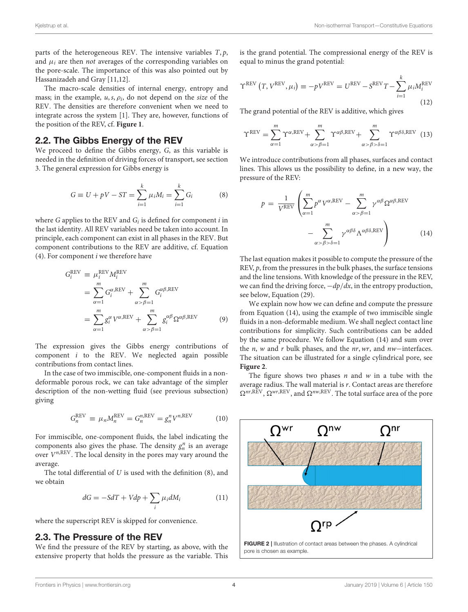parts of the heterogeneous REV. The intensive variables  $T$ ,  $p$ , and  $\mu_i$  are then *not* averages of the corresponding variables on the pore-scale. The importance of this was also pointed out by Hassanizadeh and Gray [11,12].

The macro-scale densities of internal energy, entropy and mass; in the example,  $u$ ,  $s$ ,  $\rho_i$ , do not depend on the *size* of the REV. The densities are therefore convenient when we need to integrate across the system [1]. They are, however, functions of the position of the REV, cf. **[Figure 1](#page-2-0)**.

### 2.2. The Gibbs Energy of the REV

We proceed to define the Gibbs energy, G, as this variable is needed in the definition of driving forces of transport, see section 3. The general expression for Gibbs energy is

$$
G \equiv U + pV - ST = \sum_{i=1}^{k} \mu_i M_i = \sum_{i=1}^{k} G_i
$$
 (8)

where G applies to the REV and  $G_i$  is defined for component  $i$  in the last identity. All REV variables need be taken into account. In principle, each component can exist in all phases in the REV. But component contributions to the REV are additive, cf. Equation  $(4)$ . For component *i* we therefore have

$$
G_i^{REV} \equiv \mu_i^{REV} M_i^{REV}
$$
  
= 
$$
\sum_{\alpha=1}^m G_i^{\alpha, REV} + \sum_{\alpha > \beta=1}^m G_i^{\alpha\beta, REV}
$$
  
= 
$$
\sum_{\alpha=1}^m g_i^{\alpha} V^{\alpha, REV} + \sum_{\alpha > \beta=1}^m g_i^{\alpha\beta} \Omega^{\alpha\beta, REV}
$$
 (9)

The expression gives the Gibbs energy contributions of component  $i$  to the REV. We neglected again possible contributions from contact lines.

In the case of two immiscible, one-component fluids in a nondeformable porous rock, we can take advantage of the simpler description of the non-wetting fluid (see previous subsection) giving

$$
G_n^{\text{REV}} \equiv \mu_n M_n^{\text{REV}} = G_n^{n,\text{REV}} = g_n^n V^{n,\text{REV}} \tag{10}
$$

For immiscible, one-component fluids, the label indicating the components also gives the phase. The density  $g_n^n$  is an average over  $V^{n,{\rm REV}}$ . The local density in the pores may vary around the average.

The total differential of  $U$  is used with the definition  $(8)$ , and we obtain

$$
dG = -SdT + Vdp + \sum_{i} \mu_i dM_i \tag{11}
$$

where the superscript REV is skipped for convenience.

### 2.3. The Pressure of the REV

We find the pressure of the REV by starting, as above, with the extensive property that holds the pressure as the variable. This is the grand potential. The compressional energy of the REV is equal to minus the grand potential:

$$
\Upsilon^{\text{REV}}\left(T, V^{\text{REV}}, \mu_i\right) \equiv -pV^{\text{REV}} = U^{\text{REV}} - S^{\text{REV}}T - \sum_{i=1}^{k} \mu_i M_i^{\text{REV}} \tag{12}
$$

The grand potential of the REV is additive, which gives

$$
\Upsilon^{REV} = \sum_{\alpha=1}^{m} \Upsilon^{\alpha,REV} + \sum_{\alpha>\beta=1}^{m} \Upsilon^{\alpha\beta,REV} + \sum_{\alpha>\beta>\delta=1}^{m} \Upsilon^{\alpha\beta\delta,REV} \tag{13}
$$

We introduce contributions from all phases, surfaces and contact lines. This allows us the possibility to define, in a new way, the pressure of the REV:

$$
p = \frac{1}{V^{\text{REV}}} \left( \sum_{\alpha=1}^{m} p^{\alpha} V^{\alpha, \text{REV}} - \sum_{\alpha > \beta=1}^{m} \gamma^{\alpha \beta} \Omega^{\alpha \beta, \text{REV}} - \sum_{\alpha > \beta > \delta=1}^{m} \gamma^{\alpha \beta \delta} \Lambda^{\alpha \beta \delta, \text{REV}} \right)
$$
(14)

The last equation makes it possible to compute the pressure of the REV,  $p$ , from the pressures in the bulk phases, the surface tensions and the line tensions. With knowledge of the pressure in the REV, we can find the driving force,  $-dp/dx$ , in the entropy production, see below, Equation (29).

We explain now how we can define and compute the pressure from Equation (14), using the example of two immiscible single fluids in a non-deformable medium. We shall neglect contact line contributions for simplicity. Such contributions can be added by the same procedure. We follow Equation (14) and sum over the n, w and r bulk phases, and the nr,wr, and nw−interfaces. The situation can be illustrated for a single cylindrical pore, see **[Figure 2](#page-3-0)**.

The figure shows two phases  $n$  and  $w$  in a tube with the average radius. The wall material is r. Contact areas are therefore  $\Omega^{nr,REV}$ ,  $\Omega^{wr,REV}$ , and  $\Omega^{nw,REV}$ . The total surface area of the pore

<span id="page-3-0"></span>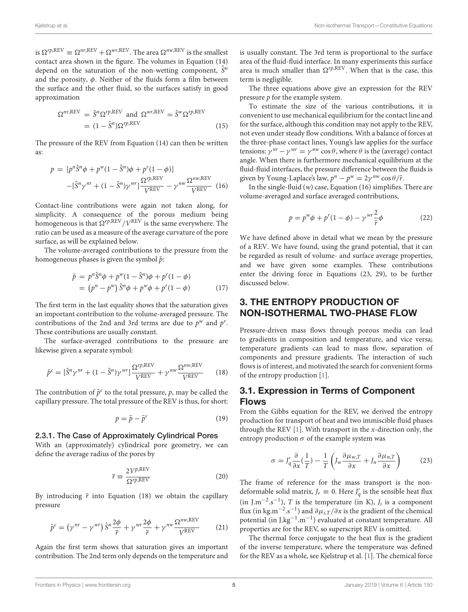is  $\Omega^{rp,REV} \equiv \Omega^{nr,REV} + \Omega^{wr,REV}$ . The area  $\Omega^{nw,REV}$  is the smallest contact area shown in the figure. The volumes in Equation (14) depend on the saturation of the non-wetting component,  $\hat{S}^n$ and the porosity,  $\phi$ . Neither of the fluids form a film between the surface and the other fluid, so the surfaces satisfy in good approximation

$$
\Omega^{nr,REV} = \hat{S}^n \Omega^{rp,REV} \text{ and } \Omega^{wr,REV} = \hat{S}^w \Omega^{rp,REV}
$$

$$
= (1 - \hat{S}^n) \Omega^{rp,REV} \tag{15}
$$

The pressure of the REV from Equation (14) can then be written as:

$$
p = [p^n \hat{S}^n \phi + p^w (1 - \hat{S}^n) \phi + p^r (1 - \phi)]
$$

$$
- [\hat{S}^n \gamma^{nr} + (1 - \hat{S}^n) \gamma^{wr}] \frac{\Omega^{rp, REV}}{V^{REV}} - \gamma^{nw} \frac{\Omega^{nw, REV}}{V^{REV}}
$$
(16)

Contact-line contributions were again not taken along, for simplicity. A consequence of the porous medium being homogeneous is that  $\Omega^{rp,\mathrm{REV}}/V^\mathrm{REV}$  is the same everywhere. The ratio can be used as a measure of the average curvature of the pore surface, as will be explained below.

The volume-averaged contributions to the pressure from the homogeneous phases is given the symbol  $\bar{p}$ :

$$
\bar{p} = p^n \hat{S}^n \phi + p^w (1 - \hat{S}^n) \phi + p^r (1 - \phi) \n= (p^n - p^w) \hat{S}^n \phi + p^w \phi + p^r (1 - \phi)
$$
\n(17)

The first term in the last equality shows that the saturation gives an important contribution to the volume-averaged pressure. The contributions of the 2nd and 3rd terms are due to  $p^w$  and  $p^r$ . These contributions are usually constant.

The surface-averaged contributions to the pressure are likewise given a separate symbol:

$$
\bar{p}^c = [\hat{S}^n \gamma^{nr} + (1 - \hat{S}^n) \gamma^{wr}] \frac{\Omega^{r p, REV}}{V^{REV}} + \gamma^{nw} \frac{\Omega^{nw, REV}}{V^{REV}}
$$
(18)

The contribution of  $\bar{p}^c$  to the total pressure, p, may be called the capillary pressure. The total pressure of the REV is thus, for short:

$$
p = \bar{p} - \bar{p}^c \tag{19}
$$

# 2.3.1. The Case of Approximately Cylindrical Pores

With an (approximately) cylindrical pore geometry, we can define the average radius of the pores by

$$
\bar{r} \equiv \frac{2V^{p,\text{REV}}}{\Omega^{rp,\text{REV}}} \tag{20}
$$

By introducing  $\bar{r}$  into Equation (18) we obtain the capillary pressure

$$
\bar{p}^c = \left(\gamma^{nr} - \gamma^{wr}\right)\hat{S}^n \frac{2\phi}{\bar{r}} + \gamma^{wr} \frac{2\phi}{\bar{r}} + \gamma^{nw} \frac{\Omega^{nw,\text{REV}}}{V^{\text{REV}}} \tag{21}
$$

Again the first term shows that saturation gives an important contribution. The 2nd term only depends on the temperature and is usually constant. The 3rd term is proportional to the surface area of the fluid-fluid interface. In many experiments this surface area is much smaller than  $\Omega^{rp,REV}$ . When that is the case, this term is negligible.

The three equations above give an expression for the REV pressure p for the example system.

To estimate the size of the various contributions, it is convenient to use mechanical equilibrium for the contact line and for the surface, although this condition may not apply to the REV, not even under steady flow conditions. With a balance of forces at the three-phase contact lines, Young's law applies for the surface tensions:  $\gamma^{nr} - \gamma^{wr} = \gamma^{nw} \cos \theta$ , where  $\theta$  is the (average) contact angle. When there is furthermore mechanical equilibrium at the fluid-fluid interfaces, the pressure difference between the fluids is given by Young-Laplace's law,  $p^n - p^w = 2\gamma^{nw} \cos \theta / \bar{r}$ .

In the single-fluid  $(w)$  case, Equation (16) simplifies. There are volume-averaged and surface averaged contributions,

$$
p = pw\phi + pr(1 - \phi) - \gammawr\frac{2}{\bar{r}}\phi
$$
 (22)

We have defined above in detail what we mean by the pressure of a REV. We have found, using the grand potential, that it can be regarded as result of volume- and surface average properties, and we have given some examples. These contributions enter the driving force in Equations (23, 29), to be further discussed below.

### 3. THE ENTROPY PRODUCTION OF NON-ISOTHERMAL TWO-PHASE FLOW

Pressure-driven mass flows through porous media can lead to gradients in composition and temperature, and vice versa; temperature gradients can lead to mass flow, separation of components and pressure gradients. The interaction of such flows is of interest, and motivated the search for convenient forms of the entropy production [\[1\]](#page-9-0).

### 3.1. Expression in Terms of Component Flows

From the Gibbs equation for the REV, we derived the entropy production for transport of heat and two immiscible fluid phases through the REV  $[1]$ . With transport in the *x*-direction only, the entropy production  $\sigma$  of the example system was

$$
\sigma = J_q' \frac{\partial}{\partial x} (\frac{1}{T}) - \frac{1}{T} \left( J_w \frac{\partial \mu_{w,T}}{\partial x} + J_n \frac{\partial \mu_{n,T}}{\partial x} \right)
$$
(23)

The frame of reference for the mass transport is the nondeformable solid matrix,  $J_r \equiv 0$ . Here  $J'_q$  is the sensible heat flux (in J.m<sup>-2</sup>.s<sup>-1</sup>), T is the temperature (in K),  $J_i$  is a component flux (in kg.m<sup>-2</sup>.s<sup>-1</sup>) and  $\partial \mu_{i,T}/\partial x$  is the gradient of the chemical potential (in J.kg<sup>-1</sup>.m<sup>-1</sup>) evaluated at constant temperature. All properties are for the REV, so superscript REV is omitted.

The thermal force conjugate to the heat flux is the gradient of the inverse temperature, where the temperature was defined for the REV as a whole, see Kjelstrup et al. [\[1\]](#page-9-0). The chemical force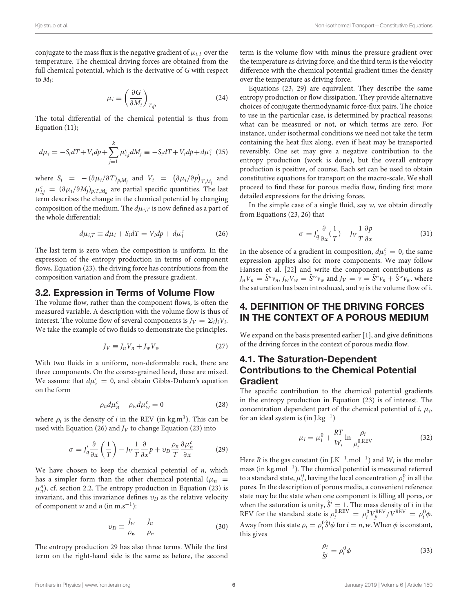conjugate to the mass flux is the negative gradient of  $\mu_{i,T}$  over the temperature. The chemical driving forces are obtained from the full chemical potential, which is the derivative of G with respect to  $M_i$ :

$$
\mu_i \equiv \left(\frac{\partial G}{\partial M_i}\right)_{T,p}
$$
\n(24)

The total differential of the chemical potential is thus from Equation (11);

$$
d\mu_i = -S_i dT + V_i dp + \sum_{j=1}^k \mu_{i,j}^c dM_j \equiv -S_i dT + V_i dp + d\mu_i^c
$$
 (25)

where  $S_i = -(\partial \mu_i / \partial T)_{p, M_j}$  and  $V_i = (\partial \mu_i / \partial p)_{T, M_j}$  and  $\mu_{i,j}^c = (\partial \mu_i / \partial M_j)_{p,T,M_k}$  are partial specific quantities. The last term describes the change in the chemical potential by changing composition of the medium. The  $d\mu_{i,T}$  is now defined as a part of the whole differential:

$$
d\mu_{i,T} \equiv d\mu_i + S_i dT = V_i dp + d\mu_i^c \tag{26}
$$

The last term is zero when the composition is uniform. In the expression of the entropy production in terms of component flows, Equation (23), the driving force has contributions from the composition variation and from the pressure gradient.

#### 3.2. Expression in Terms of Volume Flow

The volume flow, rather than the component flows, is often the measured variable. A description with the volume flow is thus of interest. The volume flow of several components is  $J_V = \Sigma_i J_i V_i$ . We take the example of two fluids to demonstrate the principles.

$$
J_V \equiv J_n V_n + J_w V_w \tag{27}
$$

With two fluids in a uniform, non-deformable rock, there are three components. On the coarse-grained level, these are mixed. We assume that  $d\mu_r^c = 0$ , and obtain Gibbs-Duhem's equation on the form

$$
\rho_n d\mu_n^c + \rho_w d\mu_w^c = 0 \tag{28}
$$

where  $\rho_i$  is the density of *i* in the REV (in kg.m<sup>3</sup>). This can be used with Equation (26) and  $J_V$  to change Equation (23) into

$$
\sigma = J'_q \frac{\partial}{\partial x} \left( \frac{1}{T} \right) - J_V \frac{1}{T} \frac{\partial}{\partial x} p + v_D \frac{\rho_n}{T} \frac{\partial \mu_n^c}{\partial x}
$$
(29)

We have chosen to keep the chemical potential of  $n$ , which has a simpler form than the other chemical potential ( $\mu_n$  =  $\mu_n^n$ ), cf. section 2.2. The entropy production in Equation (23) is invariant, and this invariance defines  $v_D$  as the relative velocity of component w and n (in m.s<sup>-1</sup>):

$$
v_D \equiv \frac{J_w}{\rho_w} - \frac{J_n}{\rho_n} \tag{30}
$$

The entropy production 29 has also three terms. While the first term on the right-hand side is the same as before, the second term is the volume flow with minus the pressure gradient over the temperature as driving force, and the third term is the velocity difference with the chemical potential gradient times the density over the temperature as driving force.

Equations (23, 29) are equivalent. They describe the same entropy production or flow dissipation. They provide alternative choices of conjugate thermodynamic force-flux pairs. The choice to use in the particular case, is determined by practical reasons; what can be measured or not, or which terms are zero. For instance, under isothermal conditions we need not take the term containing the heat flux along, even if heat may be transported reversibly. One set may give a negative contribution to the entropy production (work is done), but the overall entropy production is positive, of course. Each set can be used to obtain constitutive equations for transport on the macro-scale. We shall proceed to find these for porous media flow, finding first more detailed expressions for the driving forces.

In the simple case of a single fluid, say  $w$ , we obtain directly from Equations (23, 26) that

$$
\sigma = J_q' \frac{\partial}{\partial x} \left(\frac{1}{T}\right) - J_V \frac{1}{T} \frac{\partial p}{\partial x}
$$
\n(31)

In the absence of a gradient in composition,  $d\mu_i^c=0$  the same expression applies also for more components. We may follow Hansen et al. [\[22\]](#page-10-10) and write the component contributions as  $J_n V_n = \hat{S}^n v_n$ ,  $J_w V_w = \hat{S}^w v_w$  and  $J_V = \overline{v} = \hat{S}^n v_n + \hat{S}^w v_w$ . where the saturation has been introduced, and  $v_i$  is the volume flow of i.

### 4. DEFINITION OF THE DRIVING FORCES IN THE CONTEXT OF A POROUS MEDIUM

We expand on the basis presented earlier [\[1\]](#page-9-0), and give definitions of the driving forces in the context of porous media flow.

### 4.1. The Saturation-Dependent Contributions to the Chemical Potential Gradient

The specific contribution to the chemical potential gradients in the entropy production in Equation (23) is of interest. The concentration dependent part of the chemical potential of  $i$ ,  $\mu_i$ , for an ideal system is (in J.kg<sup>-1</sup>)

$$
\mu_i = \mu_i^0 + \frac{RT}{W_i} \ln \frac{\rho_i}{\rho_i^{0, \text{REV}}} \tag{32}
$$

Here *R* is the gas constant (in J.K<sup>-1</sup>.mol<sup>-1</sup>) and  $W_i$  is the molar mass (in kg.mol−<sup>1</sup> ). The chemical potential is measured referred to a standard state,  $\mu_i^0$ , having the local concentration  $\rho_i^0$  in all the pores. In the description of porous media, a convenient reference state may be the state when one component is filling all pores, or when the saturation is unity,  $\hat{S}^i = 1$ . The mass density of *i* in the REV for the standard state is  $\rho_i^{0,REV} = \rho_i^0 V_p^{REV} / V^{REV} = \rho_i^0 \phi$ . Away from this state  $\rho_i = \rho_i^0 \hat{S}^i \phi$  for  $i = n, w$ . When  $\phi$  is constant, this gives

$$
\frac{\rho_i}{\hat{S}^i} = \rho_i^0 \phi \tag{33}
$$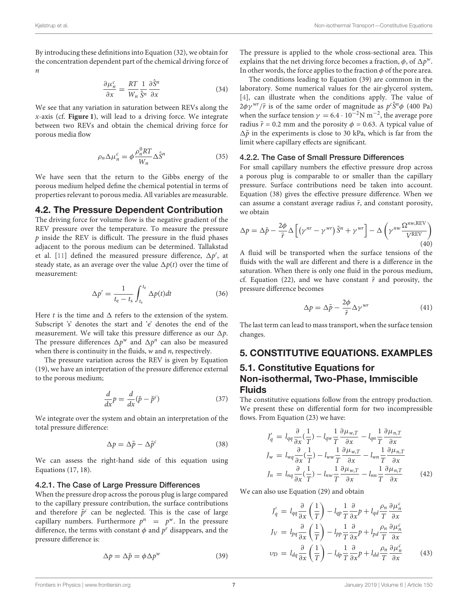By introducing these definitions into Equation (32), we obtain for the concentration dependent part of the chemical driving force of n

$$
\frac{\partial \mu_n^c}{\partial x} = \frac{RT}{W_n} \frac{1}{\hat{S}^n} \frac{\partial \hat{S}^n}{\partial x}
$$
(34)

We see that any variation in saturation between REVs along the x-axis (cf. **[Figure 1](#page-2-0)**), will lead to a driving force. We integrate between two REVs and obtain the chemical driving force for porous media flow

$$
\rho_n \Delta \mu_n^c = \phi \frac{\rho_n^0 RT}{W_n} \Delta \hat{S}^n \tag{35}
$$

We have seen that the return to the Gibbs energy of the porous medium helped define the chemical potential in terms of properties relevant to porous media. All variables are measurable.

#### 4.2. The Pressure Dependent Contribution

The driving force for volume flow is the negative gradient of the REV pressure over the temperature. To measure the pressure  $p$  inside the REV is difficult. The pressure in the fluid phases adjacent to the porous medium can be determined. Tallakstad et al. [\[11\]](#page-9-8) defined the measured pressure difference,  $\Delta p'$ , at steady state, as an average over the value  $\Delta p(t)$  over the time of measurement:

$$
\Delta p' = \frac{1}{t_{\rm e} - t_{\rm s}} \int_{t_{\rm s}}^{t_{\rm e}} \Delta p(t) dt \tag{36}
$$

Here t is the time and  $\Delta$  refers to the extension of the system. Subscript 's' denotes the start and 'e' denotes the end of the measurement. We will take this pressure difference as our  $\Delta p$ . The pressure differences  $\Delta p^w$  and  $\Delta p^n$  can also be measured when there is continuity in the fluids,  $w$  and  $n$ , respectively.

The pressure variation across the REV is given by Equation (19), we have an interpretation of the pressure difference external to the porous medium;

$$
\frac{d}{dx}p = \frac{d}{dx}(\bar{p} - \bar{p}^c)
$$
\n(37)

We integrate over the system and obtain an interpretation of the total pressure difference:

$$
\Delta p = \Delta \bar{p} - \Delta \bar{p}^c \tag{38}
$$

We can assess the right-hand side of this equation using Equations (17, 18).

#### 4.2.1. The Case of Large Pressure Differences

When the pressure drop across the porous plug is large compared to the capillary pressure contribution, the surface contributions and therefore  $\bar{p}^c$  can be neglected. This is the case of large capillary numbers. Furthermore  $p^n = p^w$ . In the pressure difference, the terms with constant  $\phi$  and  $p^r$  disappears, and the pressure difference is:

$$
\Delta p = \Delta \bar{p} = \phi \Delta p^{w} \tag{39}
$$

The pressure is applied to the whole cross-sectional area. This explains that the net driving force becomes a fraction,  $\phi$ , of  $\Delta p^w$ . In other words, the force applies to the fraction  $\phi$  of the pore area.

The conditions leading to Equation (39) are common in the laboratory. Some numerical values for the air-glycerol system, [\[4\]](#page-9-3), can illustrate when the conditions apply. The value of  $2\phi\gamma^{wr}/\bar{r}$  is of the same order of magnitude as  $p^c\hat{S}^n\phi$  (400 Pa) when the surface tension  $\gamma = 6.4 \cdot 10^{-2}$ N m<sup>-2</sup>, the average pore radius  $\bar{r}$  = 0.2 mm and the porosity  $\phi$  = 0.63. A typical value of  $\Delta \bar{p}$  in the experiments is close to 30 kPa, which is far from the limit where capillary effects are significant.

#### 4.2.2. The Case of Small Pressure Differences

For small capillary numbers the effective pressure drop across a porous plug is comparable to or smaller than the capillary pressure. Surface contributions need be taken into account. Equation (38) gives the effective pressure difference. When we can assume a constant average radius  $\bar{r}$ , and constant porosity, we obtain

$$
\Delta p = \Delta \bar{p} - \frac{2\phi}{\bar{r}} \Delta \left[ \left( \gamma^{nr} - \gamma^{wr} \right) \hat{S}^n + \gamma^{wr} \right] - \Delta \left( \gamma^{nw} \frac{\Omega^{nw, REV}}{V^{REV}} \right)
$$
\n(40)

A fluid will be transported when the surface tensions of the fluids with the wall are different and there is a difference in the saturation. When there is only one fluid in the porous medium, cf. Equation (22), and we have constant  $\bar{r}$  and porosity, the pressure difference becomes

$$
\Delta p = \Delta \bar{p} - \frac{2\phi}{\bar{r}} \Delta \gamma^{wr} \tag{41}
$$

The last term can lead to mass transport, when the surface tension changes.

# 5. CONSTITUTIVE EQUATIONS. EXAMPLES

### 5.1. Constitutive Equations for Non-isothermal, Two-Phase, Immiscible Fluids

The constitutive equations follow from the entropy production. We present these on differential form for two incompressible flows. From Equation (23) we have:

$$
J'_{q} = l_{qq} \frac{\partial}{\partial x} (\frac{1}{T}) - l_{qw} \frac{1}{T} \frac{\partial \mu_{w,T}}{\partial x} - l_{qn} \frac{1}{T} \frac{\partial \mu_{n,T}}{\partial x}
$$
  
\n
$$
J_w = l_{wq} \frac{\partial}{\partial x} (\frac{1}{T}) - l_{ww} \frac{1}{T} \frac{\partial \mu_{w,T}}{\partial x} - l_{wn} \frac{1}{T} \frac{\partial \mu_{n,T}}{\partial x}
$$
  
\n
$$
J_n = l_{nq} \frac{\partial}{\partial x} (\frac{1}{T}) - l_{nw} \frac{1}{T} \frac{\partial \mu_{w,T}}{\partial x} - l_{nn} \frac{1}{T} \frac{\partial \mu_{n,T}}{\partial x}
$$
(42)

We can also use Equation (29) and obtain

$$
J'_{q} = l_{qq} \frac{\partial}{\partial x} \left( \frac{1}{T} \right) - l_{qp} \frac{1}{T} \frac{\partial}{\partial x} p + l_{qd} \frac{\rho_n}{T} \frac{\partial \mu'_n}{\partial x}
$$
  
\n
$$
J_V = l_{pq} \frac{\partial}{\partial x} \left( \frac{1}{T} \right) - l_{pp} \frac{1}{T} \frac{\partial}{\partial x} p + l_{pd} \frac{\rho_n}{T} \frac{\partial \mu'_n}{\partial x}
$$
  
\n
$$
v_D = l_{dq} \frac{\partial}{\partial x} \left( \frac{1}{T} \right) - l_{dp} \frac{1}{T} \frac{\partial}{\partial x} p + l_{dd} \frac{\rho_n}{T} \frac{\partial \mu'_n}{\partial x}
$$
(43)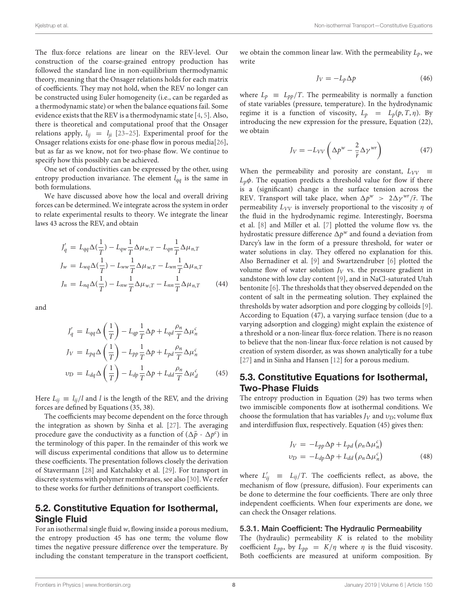The flux-force relations are linear on the REV-level. Our construction of the coarse-grained entropy production has followed the standard line in non-equilibrium thermodynamic theory, meaning that the Onsager relations holds for each matrix of coefficients. They may not hold, when the REV no longer can be constructed using Euler homogeneity (i.e., can be regarded as a thermodynamic state) or when the balance equations fail. Some evidence exists that the REV is a thermodynamic state [\[4,](#page-9-3) [5\]](#page-9-4). Also, there is theoretical and computational proof that the Onsager relations apply,  $l_{ij} = l_{ji}$  [\[23](#page-10-11)[–25\]](#page-10-12). Experimental proof for the Onsager relations exists for one-phase flow in porous media[\[26\]](#page-10-13), but as far as we know, not for two-phase flow. We continue to specify how this possibly can be achieved.

One set of conductivities can be expressed by the other, using entropy production invariance. The element  $l_{qq}$  is the same in both formulations.

We have discussed above how the local and overall driving forces can be determined. We integrate across the system in order to relate experimental results to theory. We integrate the linear laws 43 across the REV, and obtain

$$
J'_{q} = L_{qq} \Delta(\frac{1}{T}) - L_{qw} \frac{1}{T} \Delta \mu_{w,T} - L_{qn} \frac{1}{T} \Delta \mu_{n,T}
$$
  
\n
$$
J_{w} = L_{wq} \Delta(\frac{1}{T}) - L_{ww} \frac{1}{T} \Delta \mu_{w,T} - L_{wn} \frac{1}{T} \Delta \mu_{n,T}
$$
  
\n
$$
J_{n} = L_{nq} \Delta(\frac{1}{T}) - L_{nw} \frac{1}{T} \Delta \mu_{w,T} - L_{nn} \frac{1}{T} \Delta \mu_{n,T}
$$
(44)

and

$$
J'_{q} = L_{qq} \Delta \left(\frac{1}{T}\right) - L_{qp} \frac{1}{T} \Delta p + L_{qd} \frac{\rho_n}{T} \Delta \mu_n^c
$$
  
\n
$$
J_V = L_{pq} \Delta \left(\frac{1}{T}\right) - L_{pp} \frac{1}{T} \Delta p + L_{pd} \frac{\rho_n}{T} \Delta \mu_n^c
$$
  
\n
$$
v_D = L_{dq} \Delta \left(\frac{1}{T}\right) - L_{dp} \frac{1}{T} \Delta p + L_{dd} \frac{\rho_n}{T} \Delta \mu_d^c
$$
(45)

Here  $L_{ij} \equiv l_{ij}/l$  and l is the length of the REV, and the driving forces are defined by Equations (35, 38).

The coefficients may become dependent on the force through the integration as shown by Sinha et al. [\[27\]](#page-10-14). The averaging procedure gave the conductivity as a function of  $(\Delta \bar{p} - \Delta p^c)$  in the terminology of this paper. In the remainder of this work we will discuss experimental conditions that allow us to determine these coefficients. The presentation follows closely the derivation of Stavermann [\[28\]](#page-10-15) and Katchalsky et al. [\[29\]](#page-10-16). For transport in discrete systems with polymer membranes, see also [\[30\]](#page-10-17). We refer to these works for further definitions of transport coefficients.

### 5.2. Constitutive Equation for Isothermal, Single Fluid

For an isothermal single fluid w, flowing inside a porous medium, the entropy production 45 has one term; the volume flow times the negative pressure difference over the temperature. By including the constant temperature in the transport coefficient,

we obtain the common linear law. With the permeability  $L_p$ , we write

$$
J_V = -L_p \Delta p \tag{46}
$$

where  $L_p \equiv L_{pp}/T$ . The permeability is normally a function of state variables (pressure, temperature). In the hydrodynamic regime it is a function of viscosity,  $L_p = L_p(p, T, \eta)$ . By introducing the new expression for the pressure, Equation (22), we obtain

$$
J_V = -L_{VV} \left( \Delta p^w - \frac{2}{\bar{r}} \Delta \gamma^{wr} \right) \tag{47}
$$

When the permeability and porosity are constant,  $L_{VV} \equiv$  $L_p\phi$ . The equation predicts a threshold value for flow if there is a (significant) change in the surface tension across the REV. Transport will take place, when  $\Delta p^w > 2\Delta \gamma^{wr}/\bar{r}$ . The permeability  $L_{VV}$  is inversely proportional to the viscosity  $\eta$  of the fluid in the hydrodynamic regime. Interestingly, Boersma et al. [\[8\]](#page-9-7) and Miller et al. [\[7\]](#page-9-9) plotted the volume flow vs. the hydrostatic pressure difference  $\Delta p^w$  and found a deviation from Darcy's law in the form of a pressure threshold, for water or water solutions in clay. They offered no explanation for this. Also Bernadiner et al. [\[9\]](#page-9-10) and Swartzendruber [\[6\]](#page-9-5) plotted the volume flow of water solution  $J_V$  vs. the pressure gradient in sandstone with low clay content [\[9\]](#page-9-10), and in NaCl-saturated Utah bentonite [\[6\]](#page-9-5). The thresholds that they observed depended on the content of salt in the permeating solution. They explained the thresholds by water adsorption and pore clogging by colloids [\[9\]](#page-9-10). According to Equation (47), a varying surface tension (due to a varying adsorption and clogging) might explain the existence of a threshold or a non-linear flux-force relation. There is no reason to believe that the non-linear flux-force relation is not caused by creation of system disorder, as was shown analytically for a tube [\[27\]](#page-10-14) and in Sinha and Hansen [\[12\]](#page-10-0) for a porous medium.

### 5.3. Constitutive Equations for Isothermal, Two-Phase Fluids

The entropy production in Equation (29) has two terms when two immiscible components flow at isothermal conditions. We choose the formulation that has variables  $J_V$  and  $v_D$ ; volume flux and interdiffusion flux, respectively. Equation (45) gives then:

$$
J_V = -L_{pp}\Delta p + L_{pd} \left( \rho_n \Delta \mu_n^c \right)
$$
  

$$
v_D = -L_{dp}\Delta p + L_{dd} \left( \rho_n \Delta \mu_n^c \right)
$$
(48)

where  $L'_{ij} \equiv L_{ij}/T$ . The coefficients reflect, as above, the mechanism of flow (pressure, diffusion). Four experiments can be done to determine the four coefficients. There are only three independent coefficients. When four experiments are done, we can check the Onsager relations.

#### 5.3.1. Main Coefficient: The Hydraulic Permeability

The (hydraulic) permeability  $K$  is related to the mobility coefficient  $L_{pp}$ , by  $L_{pp} = K/\eta$  where  $\eta$  is the fluid viscosity. Both coefficients are measured at uniform composition. By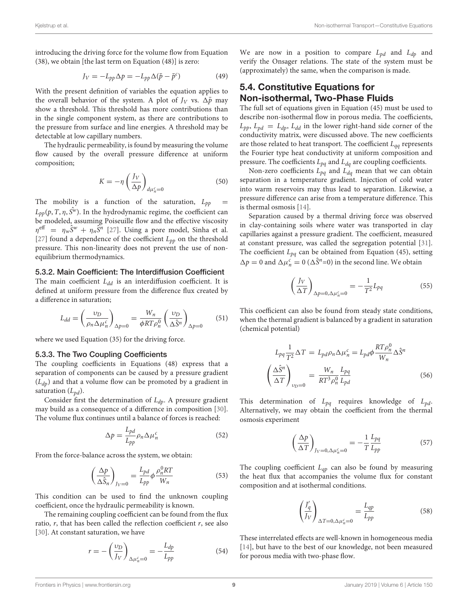introducing the driving force for the volume flow from Equation (38), we obtain [the last term on Equation (48)] is zero:

$$
J_V = -L_{pp}\Delta p = -L_{pp}\Delta(\bar{p} - \bar{p}^c)
$$
 (49)

With the present definition of variables the equation applies to the overall behavior of the system. A plot of  $J_V$  vs.  $\Delta \bar{p}$  may show a threshold. This threshold has more contributions than in the single component system, as there are contributions to the pressure from surface and line energies. A threshold may be detectable at low capillary numbers.

The hydraulic permeability, is found by measuring the volume flow caused by the overall pressure difference at uniform composition;

$$
K = -\eta \left(\frac{J_V}{\Delta p}\right)_{d\mu_n^c = 0} \tag{50}
$$

The mobility is a function of the saturation,  $L_{pp}$  $L_{pp}(p, T, \eta, \hat{S}^w)$ . In the hydrodynamic regime, the coefficient can be modeled, assuming Poiseuille flow and the effective viscosity  $\eta^{\text{eff}} = \eta_w \hat{S}^w + \eta_n \hat{S}^n$  [\[27\]](#page-10-14). Using a pore model, Sinha et al. [\[27\]](#page-10-14) found a dependence of the coefficient  $L_{pp}$  on the threshold pressure. This non-linearity does not prevent the use of nonequilibrium thermodynamics.

#### 5.3.2. Main Coefficient: The Interdiffusion Coefficient

The main coefficient  $L_{dd}$  is an interdiffusion coefficient. It is defined at uniform pressure from the difference flux created by a difference in saturation;

$$
L_{dd} = \left(\frac{\upsilon_D}{\rho_n \Delta \mu_n^c}\right)_{\Delta p=0} = \frac{W_n}{\phi R T \rho_n^0} \left(\frac{\upsilon_D}{\Delta \hat{S}^n}\right)_{\Delta p=0} \tag{51}
$$

where we used Equation (35) for the driving force.

#### 5.3.3. The Two Coupling Coefficients

The coupling coefficients in Equations (48) express that a separation of components can be caused by a pressure gradient  $(L_{dp})$  and that a volume flow can be promoted by a gradient in saturation  $(L_{pd})$ .

Consider first the determination of  $L_{dp}$ . A pressure gradient may build as a consequence of a difference in composition [\[30\]](#page-10-17). The volume flux continues until a balance of forces is reached:

$$
\Delta p = \frac{L_{pd}}{L_{pp}} \rho_n \Delta \mu_n^c \tag{52}
$$

From the force-balance across the system, we obtain:

$$
\left(\frac{\Delta p}{\Delta \hat{S}_n}\right)_{J_V=0} = \frac{L_{pd}}{L_{pp}} \phi \frac{\rho_n^0 RT}{W_n} \tag{53}
$$

This condition can be used to find the unknown coupling coefficient, once the hydraulic permeability is known.

The remaining coupling coefficient can be found from the flux ratio,  $r$ , that has been called the reflection coefficient  $r$ , see also [\[30\]](#page-10-17). At constant saturation, we have

$$
r = -\left(\frac{\upsilon_D}{J_V}\right)_{\Delta\mu_n^c = 0} = -\frac{L_{dp}}{L_{pp}}\tag{54}
$$

We are now in a position to compare  $L_{pd}$  and  $L_{dp}$  and verify the Onsager relations. The state of the system must be (approximately) the same, when the comparison is made.

### 5.4. Constitutive Equations for Non-isothermal, Two-Phase Fluids

The full set of equations given in Equation (45) must be used to describe non-isothermal flow in porous media. The coefficients,  $L_{pp}$ ,  $L_{pd} = L_{dp}$ ,  $L_{dd}$  in the lower right-hand side corner of the conductivity matrix, were discussed above. The new coefficients are those related to heat transport. The coefficient  $L_{qq}$  represents the Fourier type heat conductivity at uniform composition and pressure. The coefficients  $L_{pq}$  and  $L_{dq}$  are coupling coefficients.

Non-zero coefficients  $L_{pq}$  and  $L_{dq}$  mean that we can obtain separation in a temperature gradient. Injection of cold water into warm reservoirs may thus lead to separation. Likewise, a pressure difference can arise from a temperature difference. This is thermal osmosis [\[14\]](#page-10-2).

Separation caused by a thermal driving force was observed in clay-containing soils where water was transported in clay capillaries against a pressure gradient. The coefficient, measured at constant pressure, was called the segregation potential [\[31\]](#page-10-18). The coefficient  $L_{pq}$  can be obtained from Equation (45), setting  $\Delta p = 0$  and  $\Delta \mu_n^c = 0$  ( $\Delta \hat{S}^n$  =0) in the second line. We obtain

$$
\left(\frac{J_V}{\Delta T}\right)_{\Delta p=0,\Delta\mu_n^c=0} = -\frac{1}{T^2}L_{pq}
$$
\n(55)

This coefficient can also be found from steady state conditions, when the thermal gradient is balanced by a gradient in saturation (chemical potential)

$$
L_{pq} \frac{1}{T^2} \Delta T = L_{pd} \rho_n \Delta \mu_n^c = L_{pd} \phi \frac{RT \rho_n^0}{W_n} \Delta \hat{S}^n
$$

$$
\left(\frac{\Delta \hat{S}^n}{\Delta T}\right)_{\nu_D=0} = \frac{W_n}{RT^3 \rho_n^0} \frac{L_{pq}}{L_{pd}}
$$
(56)

This determination of  $L_{pq}$  requires knowledge of  $L_{pd}$ . Alternatively, we may obtain the coefficient from the thermal osmosis experiment

$$
\left(\frac{\Delta p}{\Delta T}\right)_{J_V=0,\Delta\mu_n^c=0} = -\frac{1}{T} \frac{L_{pq}}{L_{pp}}\tag{57}
$$

The coupling coefficient  $L_{qp}$  can also be found by measuring the heat flux that accompanies the volume flux for constant composition and at isothermal conditions.

$$
\left(\frac{J_q'}{J_V}\right)_{\Delta T=0,\Delta\mu_n^c=0} = \frac{L_{qp}}{L_{pp}}
$$
\n(58)

These interrelated effects are well-known in homogeneous media [\[14\]](#page-10-2), but have to the best of our knowledge, not been measured for porous media with two-phase flow.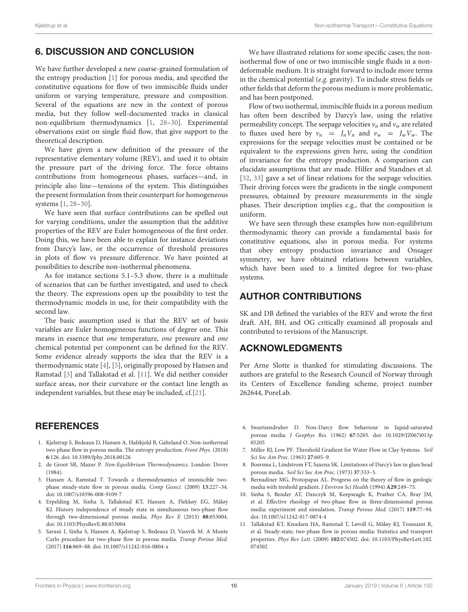### 6. DISCUSSION AND CONCLUSION

We have further developed a new coarse-grained formulation of the entropy production [\[1\]](#page-9-0) for porous media, and specified the constitutive equations for flow of two immiscible fluids under uniform or varying temperature, pressure and composition. Several of the equations are new in the context of porous media, but they follow well-documented tracks in classical non-equilibrium thermodynamics [\[1,](#page-9-0) [28](#page-10-15)[–30\]](#page-10-17). Experimental observations exist on single fluid flow, that give support to the theoretical description.

We have given a new definition of the pressure of the representative elementary volume (REV), and used it to obtain the pressure part of the driving force. The force obtains contributions from homogeneous phases, surfaces—and, in principle also line—tensions of the system. This distinguishes the present formulation from their counterpart for homogeneous systems [\[1,](#page-9-0) [28–](#page-10-15)[30\]](#page-10-17).

We have seen that surface contributions can be spelled out for varying conditions, under the assumption that the additive properties of the REV are Euler homogeneous of the first order. Doing this, we have been able to explain for instance deviations from Darcy's law, or the occurrence of threshold pressures in plots of flow vs pressure difference. We have pointed at possibilities to describe non-isothermal phenomena.

As for instance sections 5.1–5.3 show, there is a multitude of scenarios that can be further investigated, and used to check the theory. The expressions open up the possibility to test the thermodynamic models in use, for their compatibility with the second law.

The basic assumption used is that the REV set of basis variables are Euler homogeneous functions of degree one. This means in essence that one temperature, one pressure and one chemical potential per component can be defined for the REV. Some evidence already supports the idea that the REV is a thermodynamic state [\[4\]](#page-9-3), [\[5\]](#page-9-4), originally proposed by Hansen and Ramstad [\[3\]](#page-9-2) and Tallakstad et al. [\[11\]](#page-9-8). We did neither consider surface areas, nor their curvature or the contact line length as independent variables, but these may be included, cf.[\[21\]](#page-10-9).

### **REFERENCES**

- <span id="page-9-0"></span>1. Kjelstrup S, Bedeaux D, Hansen A, Hafskjold B, Galteland O. Non-isothermal two-phase flow in porous media. The entropy production. Front Phys. (2018) **6**:126. doi: [10.3389/fphy.2018.00126](https://doi.org/10.3389/fphy.2018.00126)
- <span id="page-9-1"></span>2. de Groot SR, Mazur P. Non-Equilibrium Thermodynamics. London: Dover (1984).
- <span id="page-9-2"></span>3. Hansen A, Ramstad T. Towards a thermodynamics of immiscible twophase steady-state flow in porous media. Comp Geosci. (2009) **13**:227–34. doi: [10.1007/s10596-008-9109-7](https://doi.org/10.1007/s10596-008-9109-7)
- <span id="page-9-3"></span>4. Erpelding M, Sinha S, Tallakstad KT, Hansen A, Flekkøy EG, Måløy KJ. History independence of steady state in simultaneous two-phase flow through two-dimensional porous media. Phys Rev E (2013) **88**:053004. doi: [10.1103/PhysRevE.88.053004](https://doi.org/10.1103/PhysRevE.88.053004)
- <span id="page-9-4"></span>5. Savani I, Sinha S, Hansen A, Kjelstrup S, Bedeaux D, Vassvik M. A Monte Carlo procedure for two-phase flow in porous media. Transp Porous Med. (2017) **116**:869–88. doi: [10.1007/s11242-016-0804-x](https://doi.org/10.1007/s11242-016-0804-x)

We have illustrated relations for some specific cases; the nonisothermal flow of one or two immiscible single fluids in a nondeformable medium. It is straight forward to include more terms in the chemical potential (e.g. gravity). To include stress fields or other fields that deform the porous medium is more problematic, and has been postponed.

Flow of two isothermal, immiscible fluids in a porous medium has often been described by Darcy's law, using the relative permeability concept. The seepage velocities  $v_n$  and  $v_w$  are related to fluxes used here by  $v_n = J_n V_n$  and  $v_w = J_w V_w$ . The expressions for the seepage velocities must be contained or be equivalent to the expressions given here, using the condition of invariance for the entropy production. A comparison can elucidate assumptions that are made. Hilfer and Standnes et al. [\[32,](#page-10-19) [33\]](#page-10-20) gave a set of linear relations for the seepage velocities. Their driving forces were the gradients in the single component pressures, obtained by pressure measurements in the single phases. Their description implies e.g., that the composition is uniform.

We have seen through these examples how non-equilibrium thermodynamic theory can provide a fundamental basis for constitutive equations, also in porous media. For systems that obey entropy production invariance and Onsager symmetry, we have obtained relations between variables, which have been used to a limited degree for two-phase systems.

### AUTHOR CONTRIBUTIONS

SK and DB defined the variables of the REV and wrote the first draft. AH, BH, and OG critically examined all proposals and contributed to revisions of the Manuscript.

### ACKNOWLEDGMENTS

Per Arne Slotte is thanked for stimulating discussions. The authors are grateful to the Research Council of Norway through its Centers of Excellence funding scheme, project number 262644, PoreLab.

- <span id="page-9-5"></span>6. Swartzendruber D. Non-Darcy flow behaviour in liquid-saturated porous media. J Geophys Res. (1962) **67**[:5205. doi: 10.1029/JZ067i013p](https://doi.org/10.1029/JZ067i013p05205) 05205
- <span id="page-9-9"></span>7. Miller RJ, Low PF. Threshold Gradient for Water Flow in Clay Systems. Soil Sci Soc Am Proc. (1963) **27**:605–9.
- <span id="page-9-7"></span>8. Boersma L, Lindstrom FT, Saxena SK. Limitations of Darcy's law in glass bead porous media. Soil Sci Soc Am Proc. (1973) **37**:333–5.
- <span id="page-9-10"></span>9. Bernadiner MG, Protopapas AL. Progress on the theory of flow in geologic media with treshold gradient. J Environ Sci Health (1994) **A29**:249–75.
- <span id="page-9-6"></span>10. Sinha S, Bender AT, Danczyk M, Keepseagle K, Prather CA, Bray JM, et al. Effective rheology of two-phase flow in three-dimensional porous media: experiment and simulation. Transp Porous Med. (2017) **119**:77–94. doi: [10.1007/s11242-017-0874-4](https://doi.org/10.1007/s11242-017-0874-4)
- <span id="page-9-8"></span>11. Tallakstad KT, Knudsen HA, Ramstad T, Løvoll G, Måløy KJ, Toussaint R, et al. Steady-state, two-phase flow in porous media: Statistics and transport properties. Phys Rev Lett. (2009) **102**[:074502. doi: 10.1103/PhysRevLett.102.](https://doi.org/10.1103/PhysRevLett.102.074502) 074502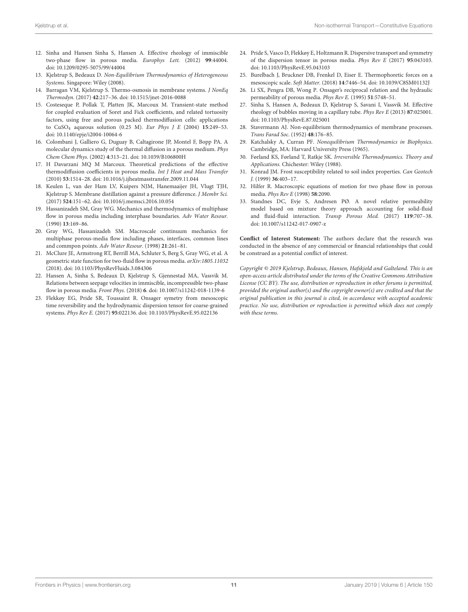- <span id="page-10-0"></span>12. Sinha and Hansen Sinha S, Hansen A. Effective rheology of immiscible two-phase flow in porous media. Europhys Lett. (2012) **99**:44004. doi: [10.1209/0295-5075/99/44004](https://doi.org/10.1209/0295-5075/99/44004)
- <span id="page-10-1"></span>13. Kjelstrup S, Bedeaux D. Non-Equilibrium Thermodynamics of Heterogeneous Systems. Singapore: Wiley (2008).
- <span id="page-10-2"></span>14. Barragan VM, Kjelstrup S. Thermo-osmosis in membrane systems. J NonEq Thermodyn. (2017) **42**:217–36. doi: [10.1515/jnet-2016-0088](https://doi.org/10.1515/jnet-2016-0088)
- <span id="page-10-3"></span>15. Costeseque P, Pollak T, Platten JK, Marcoux M. Transient-state method for coupled evaluation of Soret and Fick coefficients, and related tortuosity factors, using free and porous packed thermodiffusion cells: applications to CuSO<sup>4</sup> aqueous solution (0.25 M). Eur Phys J E (2004) **15**:249–53. doi: [10.1140/epje/i2004-10064-6](https://doi.org/10.1140/epje/i2004-10064-6)
- <span id="page-10-4"></span>16. Colombani J, Galliero G, Duguay B, Caltagirone JP, Montel F, Bopp PA. A molecular dynamics study of the thermal diffusion in a porous medium. Phys Chem Chem Phys. (2002) **4**:313–21. doi: [10.1039/B106800H](https://doi.org/10.1039/B106800H)
- <span id="page-10-5"></span>17. H Davarzani MQ M Marcoux. Theoretical predictions of the effective thermodiffusion coefficients in porous media. Int J Heat and Mass Transfer (2010) **53**:1514–28. doi: [10.1016/j.ijheatmasstransfer.2009.11.044](https://doi.org/10.1016/j.ijheatmasstransfer.2009.11.044)
- <span id="page-10-6"></span>18. Keulen L, van der Ham LV, Kuipers NJM, Hanemaaijer JH, Vlugt TJH, Kjelstrup S. Membrane distillation against a pressure difference. J Membr Sci. (2017) **524**:151–62. doi: [10.1016/j.memsci.2016.10.054](https://doi.org/10.1016/j.memsci.2016.10.054)
- <span id="page-10-7"></span>19. Hassanizadeh SM, Gray WG. Mechanics and thermodynamics of multiphase flow in porous media including interphase boundaries. Adv Water Resour. (1990) **13**:169–86.
- <span id="page-10-8"></span>20. Gray WG, Hassanizadeh SM. Macroscale continuum mechanics for multiphase porous-media flow including phases, interfaces, common lines and commpon points. Adv Water Resour. (1998) **21**:261–81.
- <span id="page-10-9"></span>21. McClure JE, Armstrong RT, Berrill MA, Schluter S, Berg S, Gray WG, et al. A geometric state function for two-fluid flow in porous media. arXiv:1805.11032 (2018). doi: [10.1103/PhysRevFluids.3.084306](https://doi.org/10.1103/PhysRevFluids.3.084306)
- <span id="page-10-10"></span>22. Hansen A, Sinha S, Bedeaux D, Kjelstrup S, Gjennestad MA, Vassvik M. Relations between seepage velocities in immiscible, incompressible two-phase flow in porous media. Front Phys. (2018) **6**. doi: [10.1007/s11242-018-1139-6](https://doi.org/10.1007/s11242-018-1139-6)
- <span id="page-10-11"></span>23. Flekkøy EG, Pride SR, Toussaint R. Onsager symetry from mesoscopic time reversibility and the hydrodynamic dispersion tensor for coarse-grained systems. Phys Rev E. (2017) **95**:022136. doi: [10.1103/PhysRevE.95.022136](https://doi.org/10.1103/PhysRevE.95.022136)
- 24. Pride S, Vasco D, Flekkøy E, Holtzmann R. Dispersive transport and symmetry of the dispersion tensor in porous media. Phys Rev E (2017) **95**:043103. doi: [10.1103/PhysRevE.95.043103](https://doi.org/10.1103/PhysRevE.95.043103)
- <span id="page-10-12"></span>25. Burelbach J, Bruckner DB, Frenkel D, Eiser E. Thermophoretic forces on a mesoscopic scale. Soft Matter. (2018) **14**:7446–54. doi: [10.1039/C8SM01132J](https://doi.org/10.1039/C8SM01132J)
- <span id="page-10-13"></span>26. Li SX, Pengra DB, Wong P. Onsager's reciprocal relation and the hydraulic permeability of porous media. Phys Rev E. (1995) **51**:5748–51.
- <span id="page-10-14"></span>27. Sinha S, Hansen A, Bedeaux D, Kjelstrup S, Savani I, Vassvik M. Effective rheology of bubbles moving in a capillary tube. Phys Rev E (2013) **87**:025001. doi: [10.1103/PhysRevE.87.025001](https://doi.org/10.1103/PhysRevE.87.025001)
- <span id="page-10-15"></span>28. Stavermann AJ. Non-equilibrium thermodynamics of membrane processes. Trans Farad Soc. (1952) **48**:176–85.
- <span id="page-10-16"></span>29. Katchalsky A, Curran PF. Nonequilibrium Thermodynamics in Biophysics. Cambridge, MA: Harvard University Press (1965).
- <span id="page-10-17"></span>30. Førland KS, Førland T, Ratkje SK. Irreversible Thermodynamics. Theory and Applications. Chichester: Wiley (1988).
- <span id="page-10-18"></span>31. Konrad JM. Frost susceptibility related to soil index properties. Can Geotech J. (1999) **36**:403–17.
- <span id="page-10-19"></span>32. Hilfer R. Macroscopic equations of motion for two phase flow in porous media. Phys Rev E (1998) **58**:2090.
- <span id="page-10-20"></span>33. Standnes DC, Evje S, Andresen PØ. A novel relative permeability model based on mixture theory approach accounting for solid-fluid and fluid-fluid interaction. Transp Porous Med. (2017) **119**:707–38. doi: [10.1007/s11242-017-0907-z](https://doi.org/10.1007/s11242-017-0907-z)

**Conflict of Interest Statement:** The authors declare that the research was conducted in the absence of any commercial or financial relationships that could be construed as a potential conflict of interest.

Copyright © 2019 Kjelstrup, Bedeaux, Hansen, Hafskjold and Galteland. This is an open-access article distributed under the terms of the [Creative Commons Attribution](http://creativecommons.org/licenses/by/4.0/) [License \(CC BY\).](http://creativecommons.org/licenses/by/4.0/) The use, distribution or reproduction in other forums is permitted, provided the original author(s) and the copyright owner(s) are credited and that the original publication in this journal is cited, in accordance with accepted academic practice. No use, distribution or reproduction is permitted which does not comply with these terms.